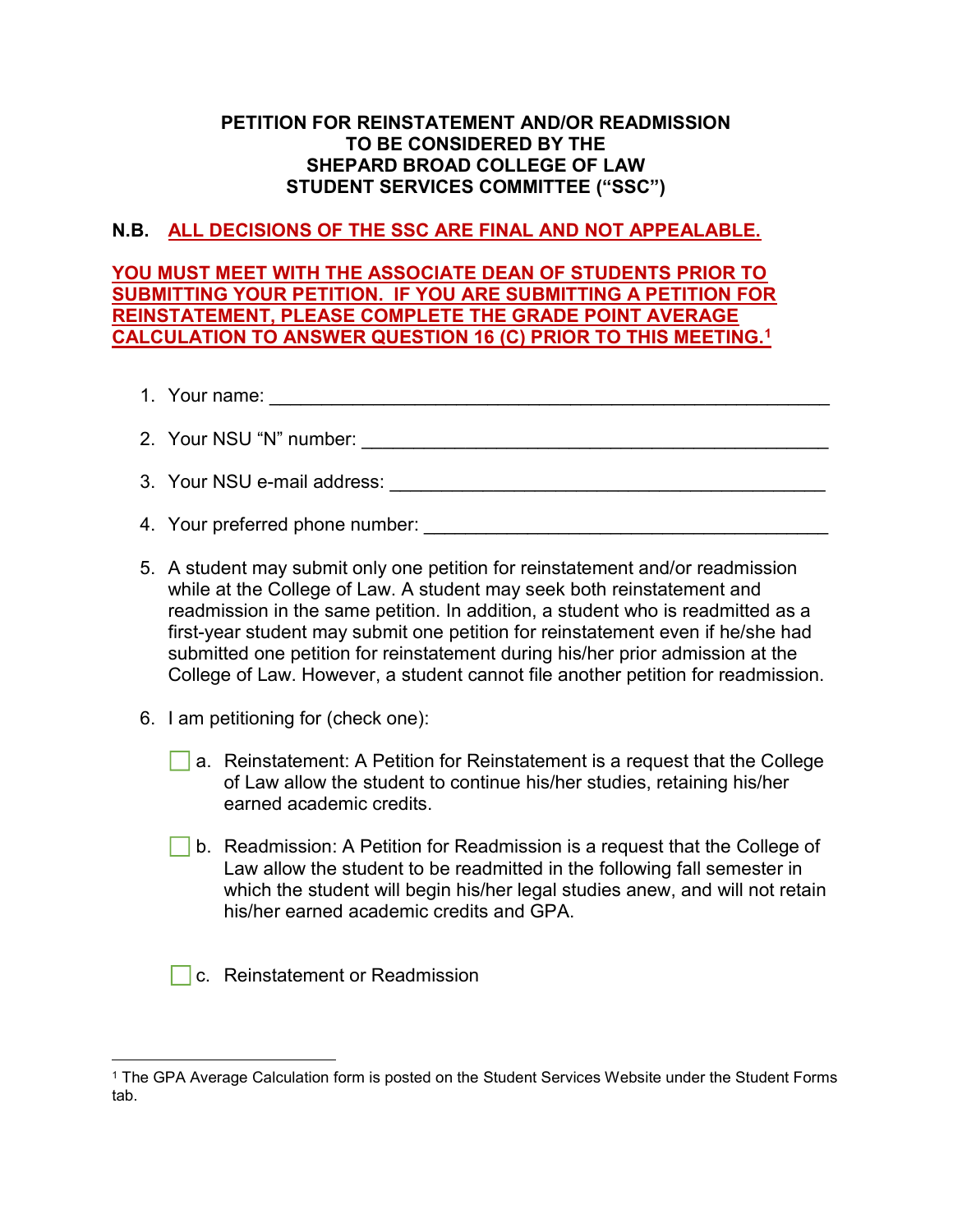### PETITION FOR REINSTATEMENT AND/OR READMISSION TO BE CONSIDERED BY THE SHEPARD BROAD COLLEGE OF LAW STUDENT SERVICES COMMITTEE ("SSC")

# N.B. ALL DECISIONS OF THE SSC ARE FINAL AND NOT APPEALABLE.

YOU MUST MEET WITH THE ASSOCIATE DEAN OF STUDENTS PRIOR TO SUBMITTING YOUR PETITION. IF YOU ARE SUBMITTING A PETITION FOR REINSTATEMENT, PLEASE COMPLETE THE GRADE POINT AVERAGE CALCULATION TO ANSWER QUESTION 16 (C) PRIOR TO THIS MEETING.<sup>1</sup>

- 1. Your name: \_\_\_\_\_\_\_\_\_\_\_\_\_\_\_\_\_\_\_\_\_\_\_\_\_\_\_\_\_\_\_\_\_\_\_\_\_\_\_\_\_\_\_\_\_\_\_\_\_\_\_\_\_\_
- 2. Your NSU "N" number: \_\_\_\_\_\_\_\_\_\_\_\_\_\_\_\_\_\_\_\_\_\_\_\_\_\_\_\_\_\_\_\_\_\_\_\_\_\_\_\_\_\_\_\_\_
- 3. Your NSU e-mail address: \_\_\_\_\_\_\_\_\_\_\_\_\_\_\_\_\_\_\_\_\_\_\_\_\_\_\_\_\_\_\_\_\_\_\_\_\_\_\_\_\_\_
- 4. Your preferred phone number: \_\_\_\_\_\_\_\_\_\_\_\_\_\_\_\_\_\_\_\_\_\_\_\_\_\_\_\_\_\_\_\_\_\_\_\_\_\_\_
- 5. A student may submit only one petition for reinstatement and/or readmission while at the College of Law. A student may seek both reinstatement and readmission in the same petition. In addition, a student who is readmitted as a first-year student may submit one petition for reinstatement even if he/she had submitted one petition for reinstatement during his/her prior admission at the College of Law. However, a student cannot file another petition for readmission.
- 6. I am petitioning for (check one):
	- a. Reinstatement: A Petition for Reinstatement is a request that the College of Law allow the student to continue his/her studies, retaining his/her earned academic credits.
	- b. Readmission: A Petition for Readmission is a request that the College of Law allow the student to be readmitted in the following fall semester in which the student will begin his/her legal studies anew, and will not retain his/her earned academic credits and GPA.
	- **C.** Reinstatement or Readmission

 $\overline{a}$ 1 The GPA Average Calculation form is posted on the Student Services Website under the Student Forms tab.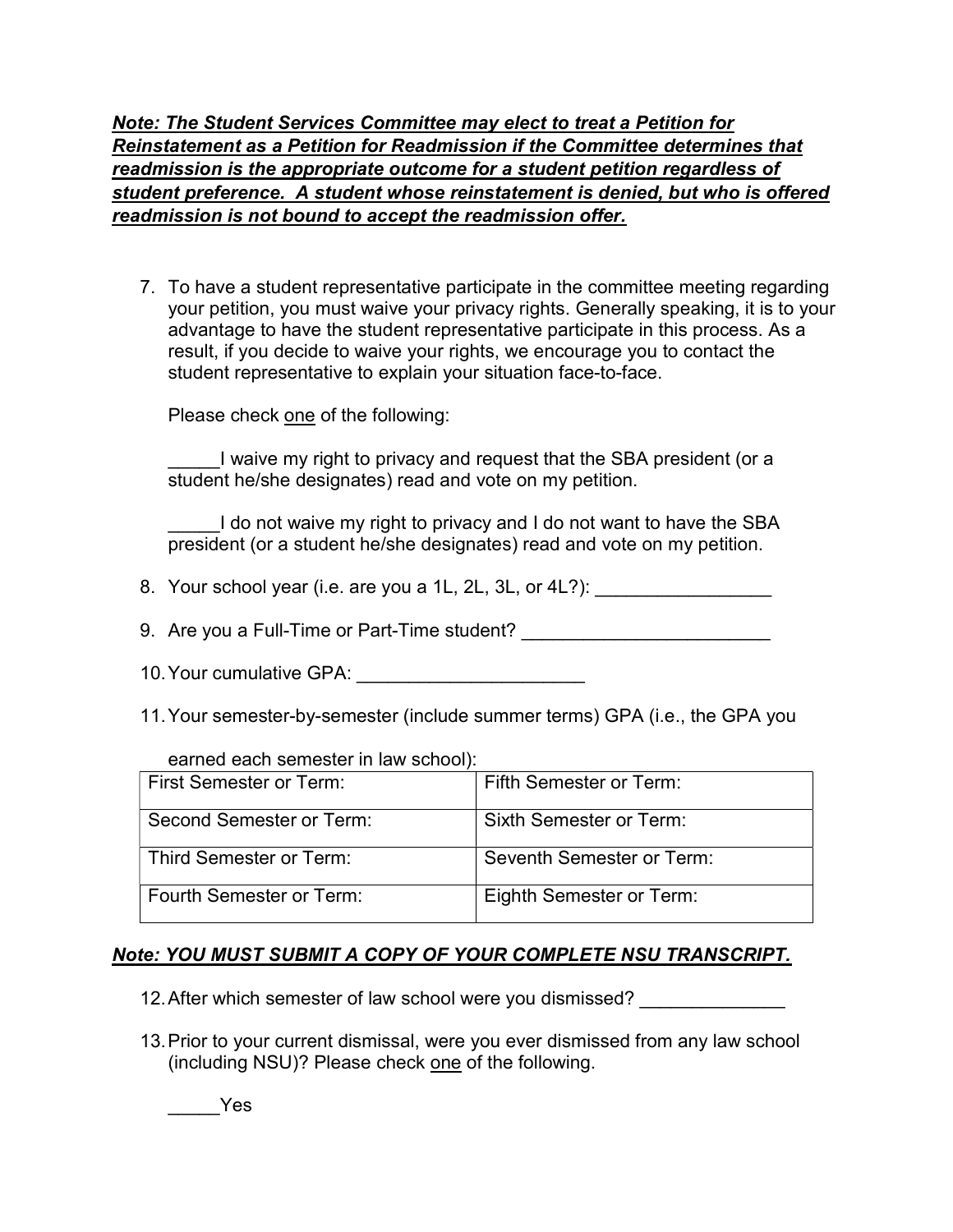Note: The Student Services Committee may elect to treat a Petition for Reinstatement as a Petition for Readmission if the Committee determines that readmission is the appropriate outcome for a student petition regardless of student preference. A student whose reinstatement is denied, but who is offered readmission is not bound to accept the readmission offer.

7. To have a student representative participate in the committee meeting regarding your petition, you must waive your privacy rights. Generally speaking, it is to your advantage to have the student representative participate in this process. As a result, if you decide to waive your rights, we encourage you to contact the student representative to explain your situation face-to-face.

Please check one of the following:

I waive my right to privacy and request that the SBA president (or a student he/she designates) read and vote on my petition.

I do not waive my right to privacy and I do not want to have the SBA president (or a student he/she designates) read and vote on my petition.

- 8. Your school year (i.e. are you a 1L, 2L, 3L, or 4L?):
- 9. Are you a Full-Time or Part-Time student? \_\_\_\_\_\_\_\_\_\_\_\_\_\_\_\_\_\_\_\_\_\_\_\_\_\_\_\_\_\_\_\_\_\_\_
- 10. Your cumulative GPA: \_\_\_\_\_\_\_\_\_\_\_\_\_\_\_\_\_\_\_\_\_\_
- 11. Your semester-by-semester (include summer terms) GPA (i.e., the GPA you

#### earned each semester in law school):

| First Semester or Term:  | Fifth Semester or Term:   |
|--------------------------|---------------------------|
| Second Semester or Term: | Sixth Semester or Term:   |
| Third Semester or Term:  | Seventh Semester or Term: |
| Fourth Semester or Term: | Eighth Semester or Term:  |

# Note: YOU MUST SUBMIT A COPY OF YOUR COMPLETE NSU TRANSCRIPT.

12. After which semester of law school were you dismissed?

13. Prior to your current dismissal, were you ever dismissed from any law school (including NSU)? Please check one of the following.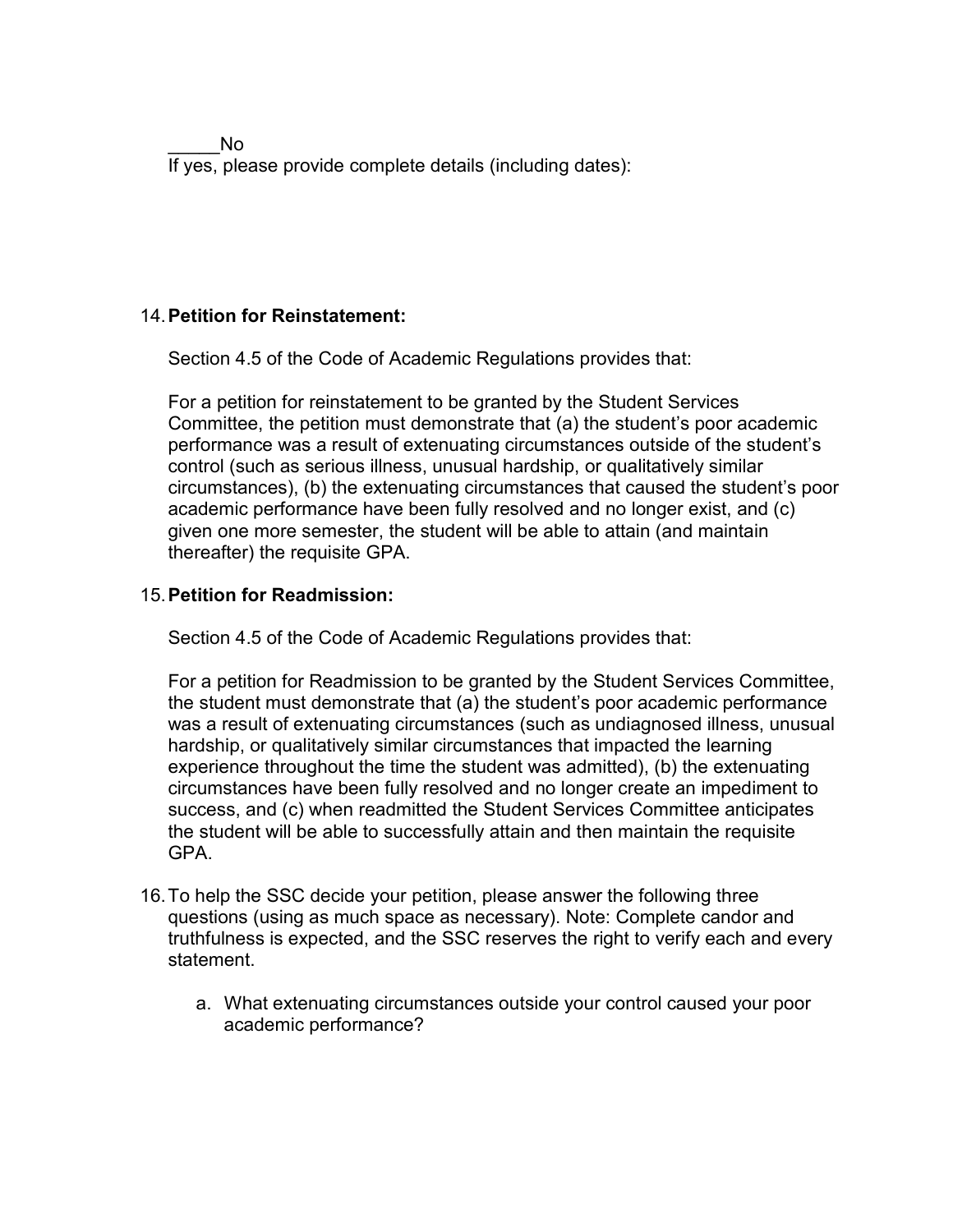$N<sub>0</sub>$ If yes, please provide complete details (including dates):

# 14. Petition for Reinstatement:

Section 4.5 of the Code of Academic Regulations provides that:

For a petition for reinstatement to be granted by the Student Services Committee, the petition must demonstrate that (a) the student's poor academic performance was a result of extenuating circumstances outside of the student's control (such as serious illness, unusual hardship, or qualitatively similar circumstances), (b) the extenuating circumstances that caused the student's poor academic performance have been fully resolved and no longer exist, and (c) given one more semester, the student will be able to attain (and maintain thereafter) the requisite GPA.

# 15. Petition for Readmission:

Section 4.5 of the Code of Academic Regulations provides that:

For a petition for Readmission to be granted by the Student Services Committee, the student must demonstrate that (a) the student's poor academic performance was a result of extenuating circumstances (such as undiagnosed illness, unusual hardship, or qualitatively similar circumstances that impacted the learning experience throughout the time the student was admitted), (b) the extenuating circumstances have been fully resolved and no longer create an impediment to success, and (c) when readmitted the Student Services Committee anticipates the student will be able to successfully attain and then maintain the requisite GPA.

- 16. To help the SSC decide your petition, please answer the following three questions (using as much space as necessary). Note: Complete candor and truthfulness is expected, and the SSC reserves the right to verify each and every statement.
	- a. What extenuating circumstances outside your control caused your poor academic performance?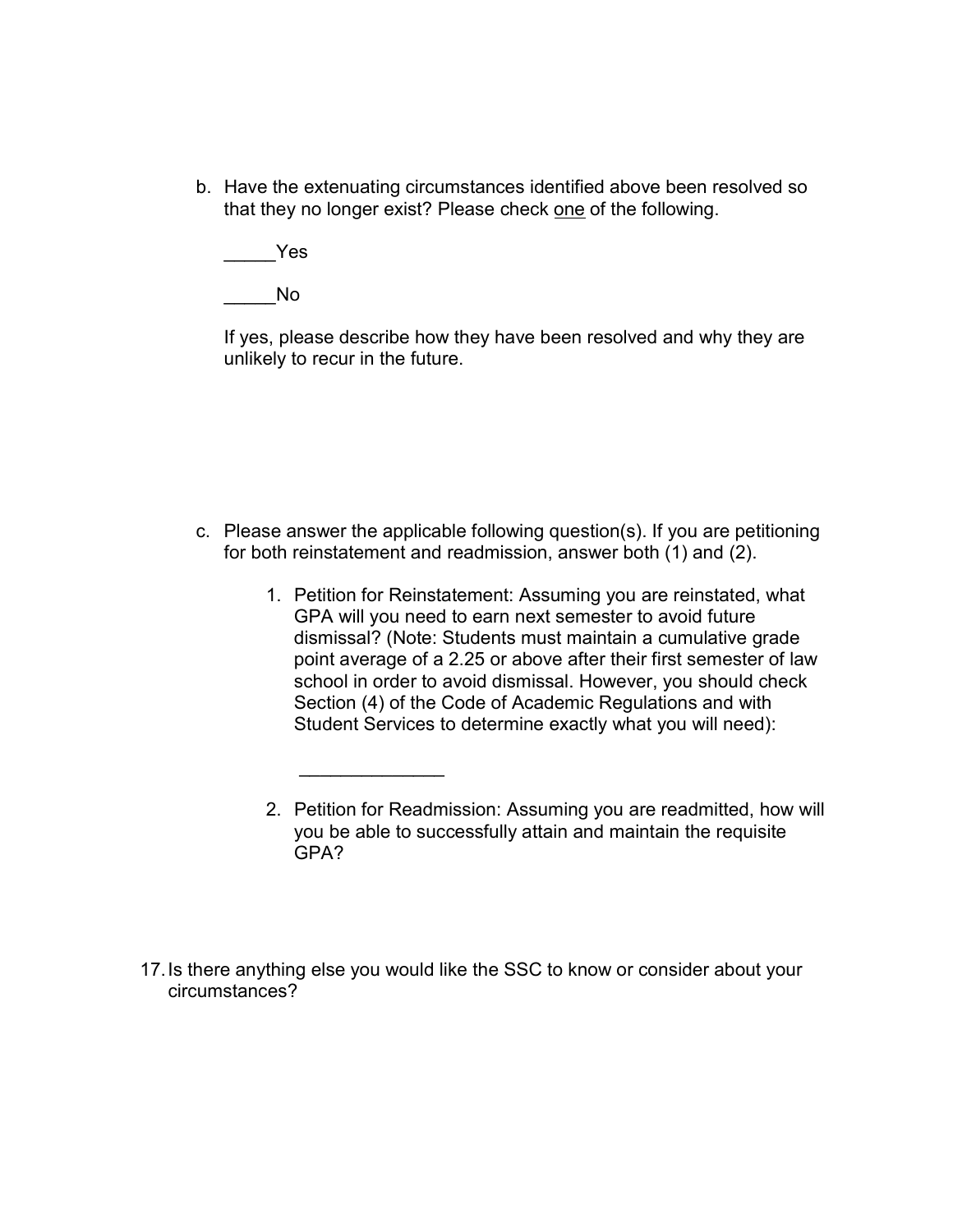b. Have the extenuating circumstances identified above been resolved so that they no longer exist? Please check one of the following.

\_\_\_\_\_Yes

\_\_\_\_\_No

If yes, please describe how they have been resolved and why they are unlikely to recur in the future.

- c. Please answer the applicable following question(s). If you are petitioning for both reinstatement and readmission, answer both (1) and (2).
	- 1. Petition for Reinstatement: Assuming you are reinstated, what GPA will you need to earn next semester to avoid future dismissal? (Note: Students must maintain a cumulative grade point average of a 2.25 or above after their first semester of law school in order to avoid dismissal. However, you should check Section (4) of the Code of Academic Regulations and with Student Services to determine exactly what you will need):
	- 2. Petition for Readmission: Assuming you are readmitted, how will you be able to successfully attain and maintain the requisite GPA?
- 17. Is there anything else you would like the SSC to know or consider about your circumstances?

 $\frac{1}{2}$